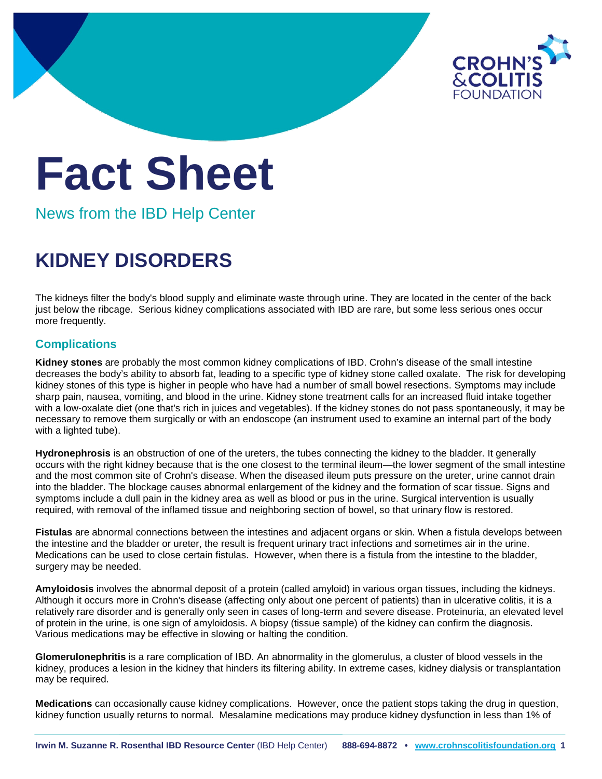

## **Fact Sheet**

News from the IBD Help Center

## **KIDNEY DISORDERS**

The kidneys filter the body's blood supply and eliminate waste through urine. They are located in the center of the back just below the ribcage. Serious kidney complications associated with IBD are rare, but some less serious ones occur more frequently.

## **Complications**

**Kidney stones** are probably the most common kidney complications of IBD. Crohn's disease of the small intestine decreases the body's ability to absorb fat, leading to a specific type of kidney stone called oxalate. The risk for developing kidney stones of this type is higher in people who have had a number of small bowel resections. Symptoms may include sharp pain, nausea, vomiting, and blood in the urine. Kidney stone treatment calls for an increased fluid intake together with a low-oxalate diet (one that's rich in juices and vegetables). If the kidney stones do not pass spontaneously, it may be necessary to remove them surgically or with an endoscope (an instrument used to examine an internal part of the body with a lighted tube).

**Hydronephrosis** is an obstruction of one of the ureters, the tubes connecting the kidney to the bladder. It generally occurs with the right kidney because that is the one closest to the terminal ileum—the lower segment of the small intestine and the most common site of Crohn's disease. When the diseased ileum puts pressure on the ureter, urine cannot drain into the bladder. The blockage causes abnormal enlargement of the kidney and the formation of scar tissue. Signs and symptoms include a dull pain in the kidney area as well as blood or pus in the urine. Surgical intervention is usually required, with removal of the inflamed tissue and neighboring section of bowel, so that urinary flow is restored.

**Fistulas** are abnormal connections between the intestines and adjacent organs or skin. When a fistula develops between the intestine and the bladder or ureter, the result is frequent urinary tract infections and sometimes air in the urine. Medications can be used to close certain fistulas. However, when there is a fistula from the intestine to the bladder, surgery may be needed.

**Amyloidosis** involves the abnormal deposit of a protein (called amyloid) in various organ tissues, including the kidneys. Although it occurs more in Crohn's disease (affecting only about one percent of patients) than in ulcerative colitis, it is a relatively rare disorder and is generally only seen in cases of long-term and severe disease. Proteinuria, an elevated level of protein in the urine, is one sign of amyloidosis. A biopsy (tissue sample) of the kidney can confirm the diagnosis. Various medications may be effective in slowing or halting the condition.

**Glomerulonephritis** is a rare complication of IBD. An abnormality in the glomerulus, a cluster of blood vessels in the kidney, produces a lesion in the kidney that hinders its filtering ability. In extreme cases, kidney dialysis or transplantation may be required.

**Medications** can occasionally cause kidney complications. However, once the patient stops taking the drug in question, kidney function usually returns to normal. Mesalamine medications may produce kidney dysfunction in less than 1% of